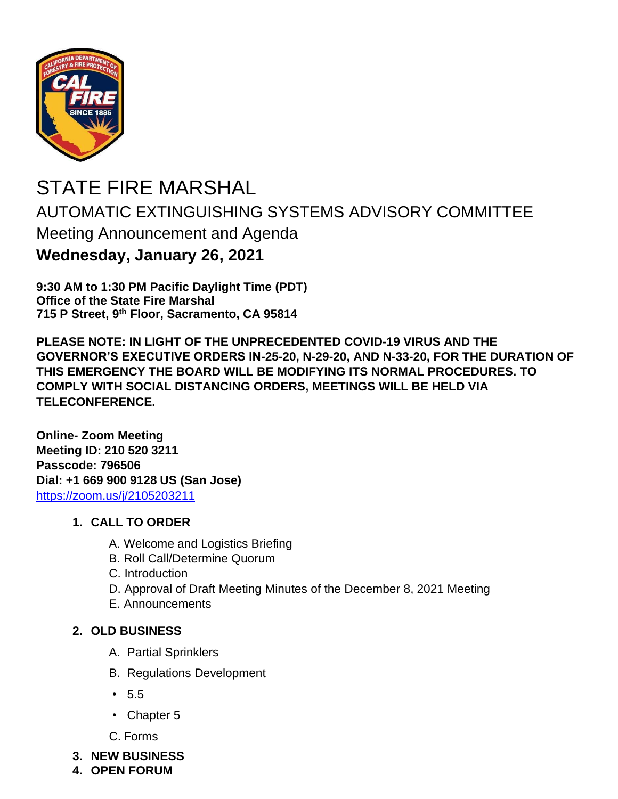

# STATE FIRE MARSHAL AUTOMATIC EXTINGUISHING SYSTEMS ADVISORY COMMITTEE Meeting Announcement and Agenda **Wednesday, January 26, 2021**

**9:30 AM to 1:30 PM Pacific Daylight Time (PDT) Office of the State Fire Marshal 715 P Street, 9 th Floor, Sacramento, CA 95814**

**PLEASE NOTE: IN LIGHT OF THE UNPRECEDENTED COVID-19 VIRUS AND THE GOVERNOR'S EXECUTIVE ORDERS IN-25-20, N-29-20, AND N-33-20, FOR THE DURATION OF THIS EMERGENCY THE BOARD WILL BE MODIFYING ITS NORMAL PROCEDURES. TO COMPLY WITH SOCIAL DISTANCING ORDERS, MEETINGS WILL BE HELD VIA TELECONFERENCE.**

**Online- Zoom Meeting Meeting ID: 210 520 3211 Passcode: 796506 Dial: +1 669 900 9128 US (San Jose)** <https://zoom.us/j/2105203211>

#### **1. CALL TO ORDER**

- A. Welcome and Logistics Briefing
- B. Roll Call/Determine Quorum
- C. Introduction
- D. Approval of Draft Meeting Minutes of the December 8, 2021 Meeting
- E. Announcements

### **2. OLD BUSINESS**

- A. Partial Sprinklers
- B. Regulations Development
- 5.5
- Chapter 5
- C. Forms
- **3. NEW BUSINESS**
- **4. OPEN FORUM**